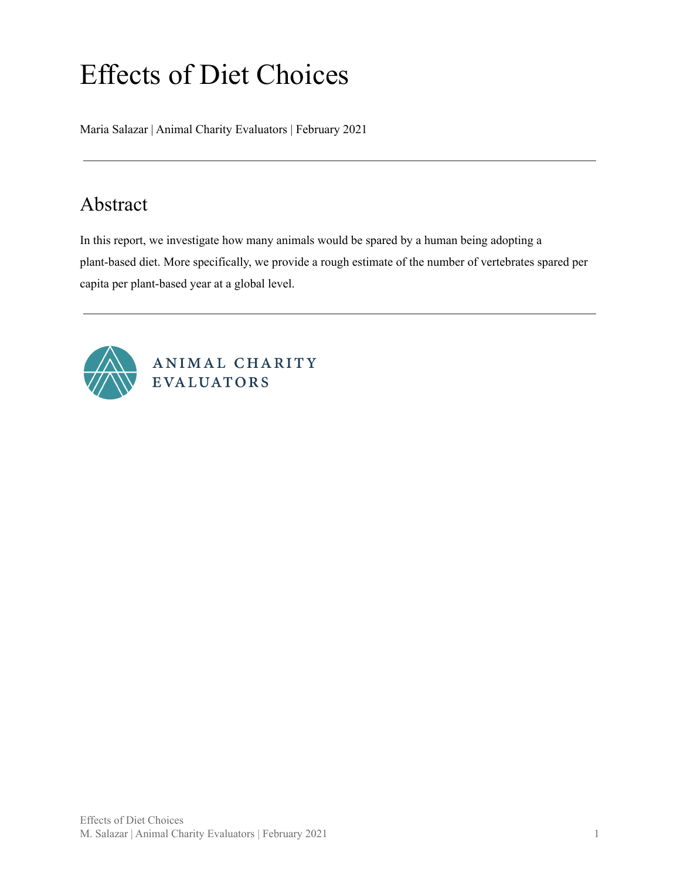# Effects of Diet Choices

Maria Salazar | Animal Charity Evaluators | February 2021

# <span id="page-0-0"></span>Abstract

In this report, we investigate how many animals would be spared by a human being adopting a plant-based diet. More specifically, we provide a rough estimate of the number of vertebrates spared per capita per plant-based year at a global level.



ANIMAL CHARITY EVALUATORS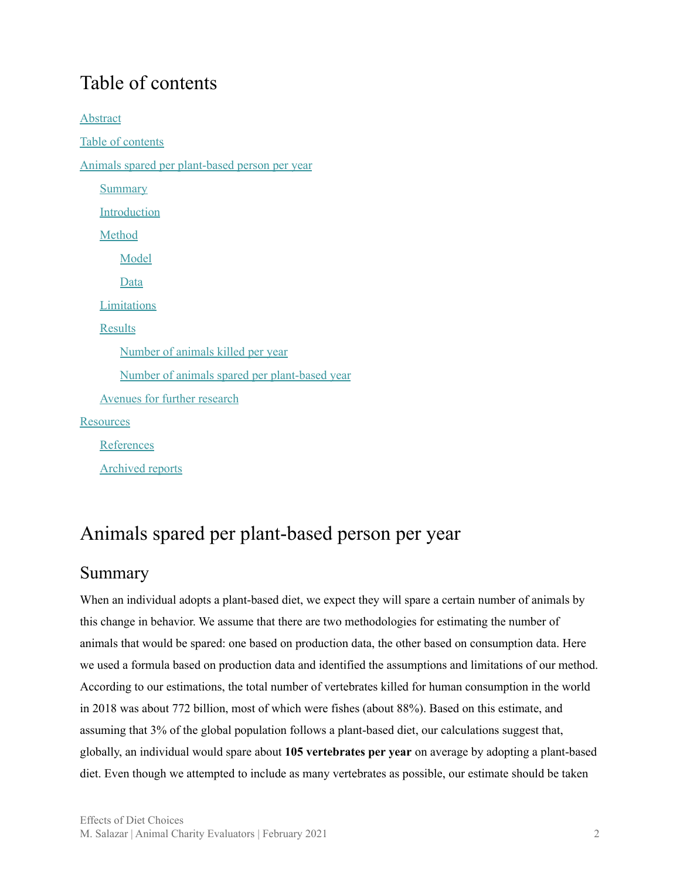# <span id="page-1-0"></span>Table of contents

[Abstract](#page-0-0) Table of [contents](#page-1-0) Animals spared per [plant-based](#page-1-1) person per year **[Summary](#page-1-2)** [Introduction](#page-2-0) [Method](#page-3-0) [Model](#page-3-1) [Data](#page-3-2) [Limitations](#page-4-0) [Results](#page-5-0) [Number](#page-5-1) of animals killed per year Number of animals spared per [plant-based](#page-8-0) year [Avenues](#page-10-0) for further research **[Resources](#page-10-1)** [References](#page-10-2) [Archived](#page-11-0) reports

# <span id="page-1-1"></span>Animals spared per plant-based person per year

#### <span id="page-1-2"></span>Summary

When an individual adopts a plant-based diet, we expect they will spare a certain number of animals by this change in behavior. We assume that there are two methodologies for estimating the number of animals that would be spared: one based on production data, the other based on consumption data. Here we used a formula based on production data and identified the assumptions and limitations of our method. According to our estimations, the total number of vertebrates killed for human consumption in the world in 2018 was about 772 billion, most of which were fishes (about 88%). Based on this estimate, and assuming that 3% of the global population follows a plant-based diet, our calculations suggest that, globally, an individual would spare about **105 vertebrates per year** on average by adopting a plant-based diet. Even though we attempted to include as many vertebrates as possible, our estimate should be taken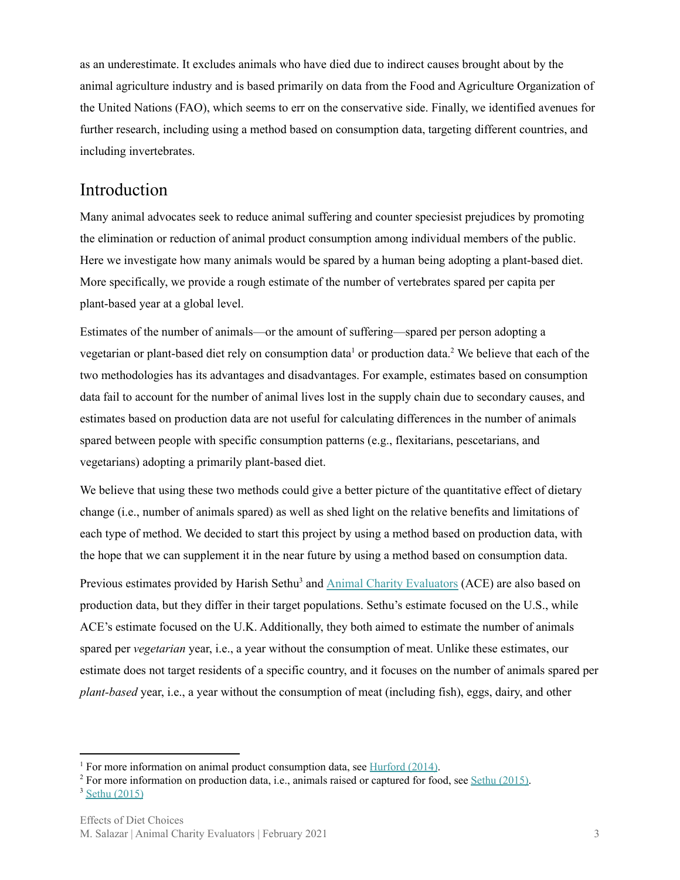as an underestimate. It excludes animals who have died due to indirect causes brought about by the animal agriculture industry and is based primarily on data from the Food and Agriculture Organization of the United Nations (FAO), which seems to err on the conservative side. Finally, we identified avenues for further research, including using a method based on consumption data, targeting different countries, and including invertebrates.

#### <span id="page-2-0"></span>Introduction

Many animal advocates seek to reduce animal suffering and counter speciesist prejudices by promoting the elimination or reduction of animal product consumption among individual members of the public. Here we investigate how many animals would be spared by a human being adopting a plant-based diet. More specifically, we provide a rough estimate of the number of vertebrates spared per capita per plant-based year at a global level.

Estimates of the number of animals—or the amount of suffering—spared per person adopting a vegetarian or plant-based diet rely on consumption data<sup>1</sup> or production data.<sup>2</sup> We believe that each of the two methodologies has its advantages and disadvantages. For example, estimates based on consumption data fail to account for the number of animal lives lost in the supply chain due to secondary causes, and estimates based on production data are not useful for calculating differences in the number of animals spared between people with specific consumption patterns (e.g., flexitarians, pescetarians, and vegetarians) adopting a primarily plant-based diet.

We believe that using these two methods could give a better picture of the quantitative effect of dietary change (i.e., number of animals spared) as well as shed light on the relative benefits and limitations of each type of method. We decided to start this project by using a method based on production data, with the hope that we can supplement it in the near future by using a method based on consumption data.

Previous estimates provided by Harish Sethu<sup>3</sup> and **Animal Charity [Evaluators](https://animalcharityevaluators.org/blog/how-many-animals-does-a-vegetarian-save-in-the-uk/)** (ACE) are also based on production data, but they differ in their target populations. Sethu's estimate focused on the U.S., while ACE's estimate focused on the U.K. Additionally, they both aimed to estimate the number of animals spared per *vegetarian* year, i.e., a year without the consumption of meat. Unlike these estimates, our estimate does not target residents of a specific country, and it focuses on the number of animals spared per *plant-based* year, i.e., a year without the consumption of meat (including fish), eggs, dairy, and other

<sup>&</sup>lt;sup>1</sup> For more information on animal product consumption data, see [Hurford](http://everydayutilitarian.com/essays/how-much-suffering-is-in-the-standard-american-diet/)  $(2014)$ .

 $2$  For more information on production data, i.e., animals raised or captured for food, see Sethu [\(2015\)](http://www.countinganimals.com/how-many-animals-does-a-vegetarian-save/).

<sup>&</sup>lt;sup>3</sup> Sethu [\(2015\)](http://www.countinganimals.com/how-many-animals-does-a-vegetarian-save/)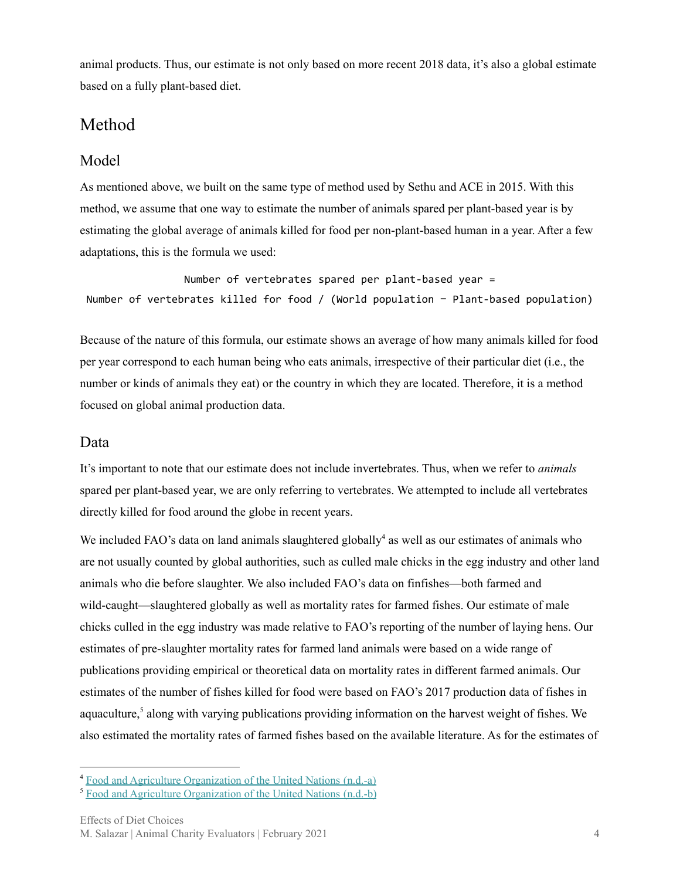animal products. Thus, our estimate is not only based on more recent 2018 data, it's also a global estimate based on a fully plant-based diet.

## <span id="page-3-0"></span>Method

#### <span id="page-3-1"></span>Model

As mentioned above, we built on the same type of method used by Sethu and ACE in 2015. With this method, we assume that one way to estimate the number of animals spared per plant-based year is by estimating the global average of animals killed for food per non-plant-based human in a year. After a few adaptations, this is the formula we used:

Number of vertebrates spared per plant-based year = Number of vertebrates killed for food / (World population − Plant-based population)

Because of the nature of this formula, our estimate shows an average of how many animals killed for food per year correspond to each human being who eats animals, irrespective of their particular diet (i.e., the number or kinds of animals they eat) or the country in which they are located. Therefore, it is a method focused on global animal production data.

#### <span id="page-3-2"></span>Data

It's important to note that our estimate does not include invertebrates. Thus, when we refer to *animals* spared per plant-based year, we are only referring to vertebrates. We attempted to include all vertebrates directly killed for food around the globe in recent years.

We included FAO's data on land animals slaughtered globally<sup>4</sup> as well as our estimates of animals who are not usually counted by global authorities, such as culled male chicks in the egg industry and other land animals who die before slaughter. We also included FAO's data on finfishes—both farmed and wild-caught—slaughtered globally as well as mortality rates for farmed fishes. Our estimate of male chicks culled in the egg industry was made relative to FAO's reporting of the number of laying hens. Our estimates of pre-slaughter mortality rates for farmed land animals were based on a wide range of publications providing empirical or theoretical data on mortality rates in different farmed animals. Our estimates of the number of fishes killed for food were based on FAO's 2017 production data of fishes in aquaculture,<sup>5</sup> along with varying publications providing information on the harvest weight of fishes. We also estimated the mortality rates of farmed fishes based on the available literature. As for the estimates of

<sup>4</sup> Food and Agriculture [Organization](http://www.fao.org/faostat/en/#home) of the United Nations (n.d.-a)

<sup>5</sup> Food and Agriculture [Organization](http://www.fao.org/fishery/statistics/global-aquaculture-production/query/en) of the United Nations (n.d.-b)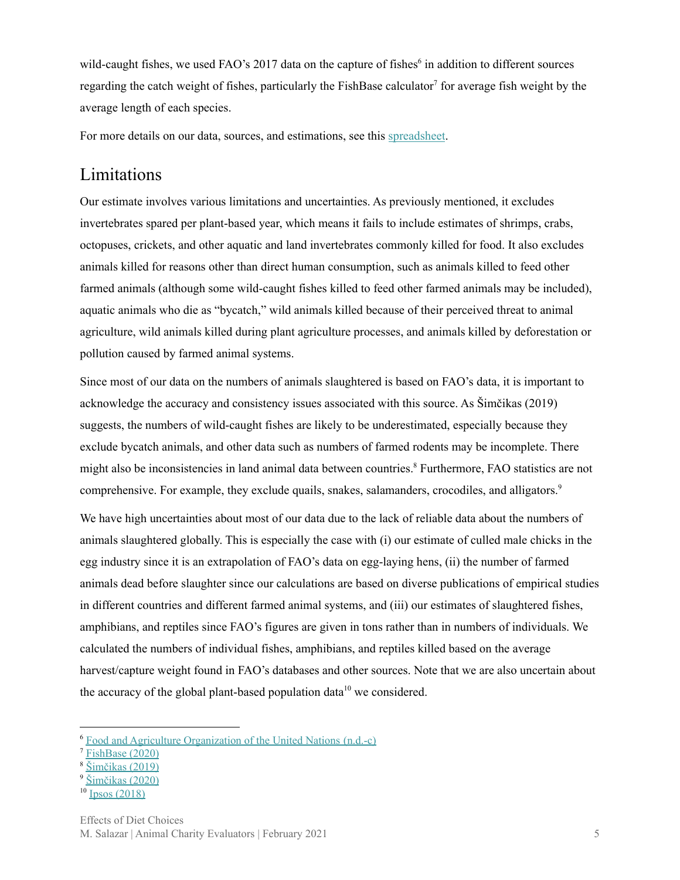wild-caught fishes, we used FAO's 2017 data on the capture of fishes $6$  in addition to different sources regarding the catch weight of fishes, particularly the FishBase calculator<sup>7</sup> for average fish weight by the average length of each species.

For more details on our data, sources, and estimations, see this [spreadsheet](https://docs.google.com/spreadsheets/d/1FtmIafotDpIAvblZiBYJu2nO2PbeUCrcaKlG_hHvNsI/edit?usp=sharing).

## <span id="page-4-0"></span>Limitations

Our estimate involves various limitations and uncertainties. As previously mentioned, it excludes invertebrates spared per plant-based year, which means it fails to include estimates of shrimps, crabs, octopuses, crickets, and other aquatic and land invertebrates commonly killed for food. It also excludes animals killed for reasons other than direct human consumption, such as animals killed to feed other farmed animals (although some wild-caught fishes killed to feed other farmed animals may be included), aquatic animals who die as "bycatch," wild animals killed because of their perceived threat to animal agriculture, wild animals killed during plant agriculture processes, and animals killed by deforestation or pollution caused by farmed animal systems.

Since most of our data on the numbers of animals slaughtered is based on FAO's data, it is important to acknowledge the accuracy and consistency issues associated with this source. As Šimčikas (2019) suggests, the numbers of wild-caught fishes are likely to be underestimated, especially because they exclude bycatch animals, and other data such as numbers of farmed rodents may be incomplete. There might also be inconsistencies in land animal data between countries.<sup>8</sup> Furthermore, FAO statistics are not comprehensive. For example, they exclude quails, snakes, salamanders, crocodiles, and alligators. 9

We have high uncertainties about most of our data due to the lack of reliable data about the numbers of animals slaughtered globally. This is especially the case with (i) our estimate of culled male chicks in the egg industry since it is an extrapolation of FAO's data on egg-laying hens, (ii) the number of farmed animals dead before slaughter since our calculations are based on diverse publications of empirical studies in different countries and different farmed animal systems, and (iii) our estimates of slaughtered fishes, amphibians, and reptiles since FAO's figures are given in tons rather than in numbers of individuals. We calculated the numbers of individual fishes, amphibians, and reptiles killed based on the average harvest/capture weight found in FAO's databases and other sources. Note that we are also uncertain about the accuracy of the global plant-based population data<sup>10</sup> we considered.

<sup>6</sup> Food and Agriculture [Organization](http://www.fao.org/fishery/statistics/global-capture-production/query/en) of the United Nations (n.d.-c)

 $7$  [FishBase](https://www.fishbase.de/search.php) (2020)

<sup>8</sup> [Šimčikas](https://forum.effectivealtruism.org/posts/amwCRLACACF6MnAvw/accuracy-issues-in-fao-animal-numbers) (2019)

<sup>9</sup> [Šimčikas](https://forum.effectivealtruism.org/posts/pT7AYJdaRp6ZdYfny/estimates-of-global-captive-vertebrate-numbers#Summary_tables) (2020)

 $10 \text{ Jpos} (2018)$  $10 \text{ Jpos} (2018)$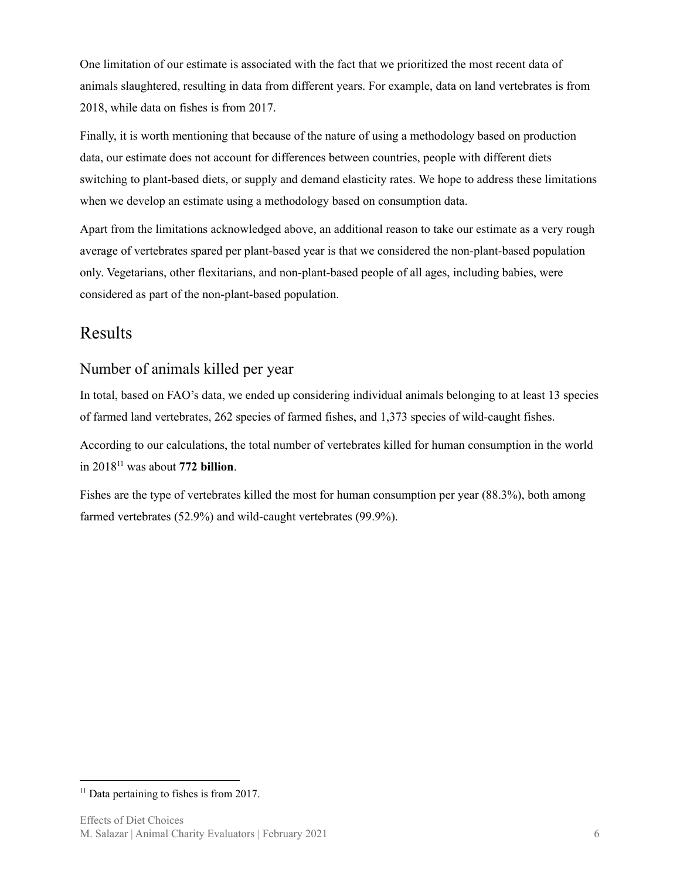One limitation of our estimate is associated with the fact that we prioritized the most recent data of animals slaughtered, resulting in data from different years. For example, data on land vertebrates is from 2018, while data on fishes is from 2017.

Finally, it is worth mentioning that because of the nature of using a methodology based on production data, our estimate does not account for differences between countries, people with different diets switching to plant-based diets, or supply and demand elasticity rates. We hope to address these limitations when we develop an estimate using a methodology based on consumption data.

Apart from the limitations acknowledged above, an additional reason to take our estimate as a very rough average of vertebrates spared per plant-based year is that we considered the non-plant-based population only. Vegetarians, other flexitarians, and non-plant-based people of all ages, including babies, were considered as part of the non-plant-based population.

## <span id="page-5-0"></span>Results

#### <span id="page-5-1"></span>Number of animals killed per year

In total, based on FAO's data, we ended up considering individual animals belonging to at least 13 species of farmed land vertebrates, 262 species of farmed fishes, and 1,373 species of wild-caught fishes.

According to our calculations, the total number of vertebrates killed for human consumption in the world in 2018<sup>11</sup> was about 772 billion.

Fishes are the type of vertebrates killed the most for human consumption per year (88.3%), both among farmed vertebrates (52.9%) and wild-caught vertebrates (99.9%).

 $11$  Data pertaining to fishes is from 2017.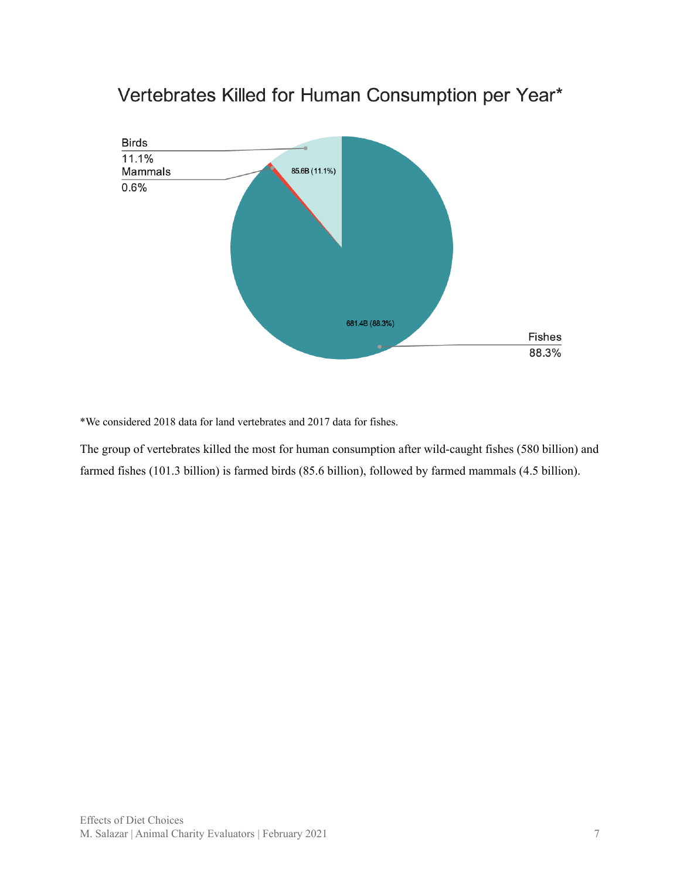

# Vertebrates Killed for Human Consumption per Year\*

\*We considered 2018 data for land vertebrates and 2017 data for fishes.

The group of vertebrates killed the most for human consumption after wild-caught fishes (580 billion) and farmed fishes (101.3 billion) is farmed birds (85.6 billion), followed by farmed mammals (4.5 billion).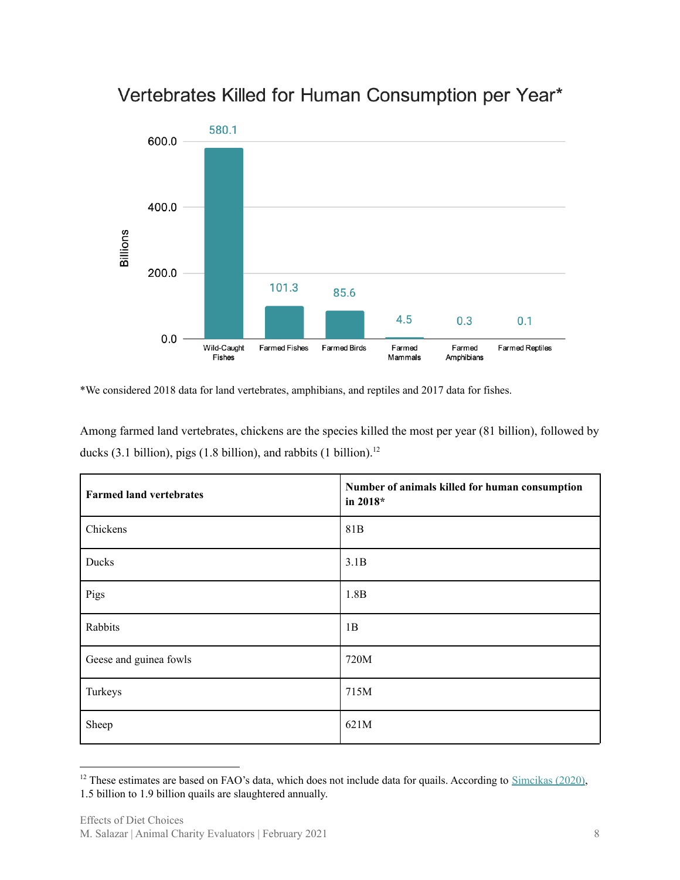

# Vertebrates Killed for Human Consumption per Year\*

\*We considered 2018 data for land vertebrates, amphibians, and reptiles and 2017 data for fishes.

Fishes

Among farmed land vertebrates, chickens are the species killed the most per year (81 billion), followed by ducks (3.1 billion), pigs (1.8 billion), and rabbits (1 billion). 12

Amphibians

Mammals

| <b>Farmed land vertebrates</b> | Number of animals killed for human consumption<br>in 2018* |
|--------------------------------|------------------------------------------------------------|
| Chickens                       | 81 <sub>B</sub>                                            |
| Ducks                          | 3.1B                                                       |
| Pigs                           | 1.8B                                                       |
| Rabbits                        | 1B                                                         |
| Geese and guinea fowls         | 720M                                                       |
| Turkeys                        | 715M                                                       |
| Sheep                          | 621M                                                       |

 $12$  These estimates are based on FAO's data, which does not include data for quails. According to [Simcikas](https://forum.effectivealtruism.org/posts/pT7AYJdaRp6ZdYfny/estimates-of-global-captive-vertebrate-numbers#Summary_tables) (2020), 1.5 billion to 1.9 billion quails are slaughtered annually.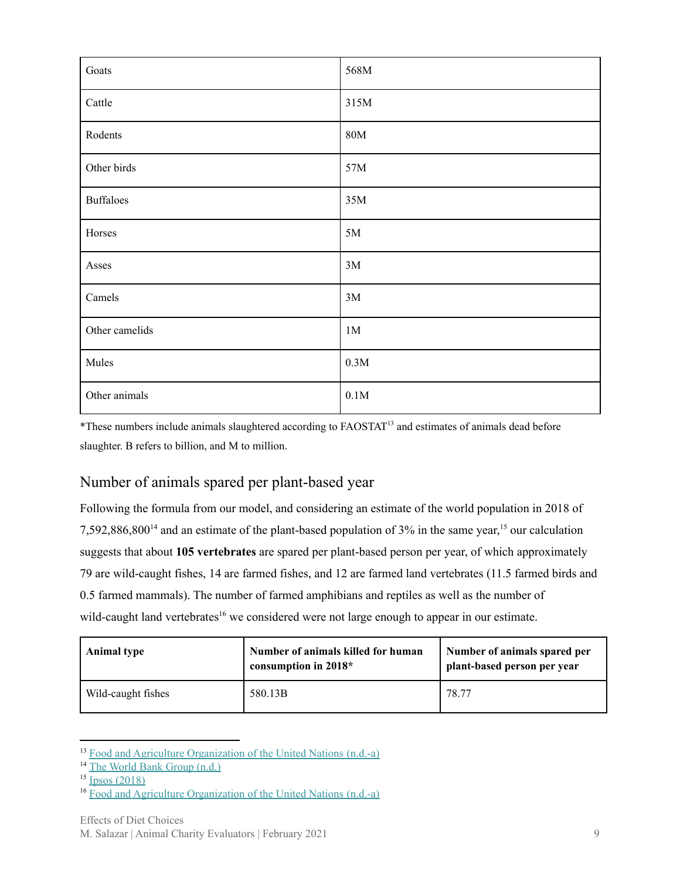| Goats            | 568M           |
|------------------|----------------|
| Cattle           | 315M           |
| Rodents          | <b>80M</b>     |
| Other birds      | $57M$          |
| <b>Buffaloes</b> | $35M$          |
| Horses           | $5M$           |
| Asses            | $3M$           |
| Camels           | $3M$           |
| Other camelids   | 1 <sub>M</sub> |
| Mules            | 0.3M           |
| Other animals    | $0.1\rm M$     |

\*These numbers include animals slaughtered according to FAOSTAT<sup>13</sup> and estimates of animals dead before slaughter. B refers to billion, and M to million.

#### <span id="page-8-0"></span>Number of animals spared per plant-based year

Following the formula from our model, and considering an estimate of the world population in 2018 of 7,592,886,800<sup>14</sup> and an estimate of the plant-based population of  $3\%$  in the same year,<sup>15</sup> our calculation suggests that about **105 vertebrates** are spared per plant-based person per year, of which approximately 79 are wild-caught fishes, 14 are farmed fishes, and 12 are farmed land vertebrates (11.5 farmed birds and 0.5 farmed mammals). The number of farmed amphibians and reptiles as well as the number of wild-caught land vertebrates<sup>16</sup> we considered were not large enough to appear in our estimate.

| <b>Animal type</b> | Number of animals killed for human<br>consumption in $2018*$ | Number of animals spared per<br>plant-based person per year |
|--------------------|--------------------------------------------------------------|-------------------------------------------------------------|
| Wild-caught fishes | 580.13B                                                      | 78.77                                                       |

<sup>&</sup>lt;sup>13</sup> Food and Agriculture [Organization](http://www.fao.org/faostat/en/#home) of the United Nations (n.d.-a)

<sup>&</sup>lt;sup>14</sup> The World Bank [Group](https://data.worldbank.org/indicator/SP.POP.TOTL?name_desc=true) (n.d.)

 $15$  Ipsos [\(2018\)](https://www.ipsos.com/sites/default/files/ct/news/documents/2018-09/an_exploration_into_diets_around_the_world.pdf)

<sup>&</sup>lt;sup>16</sup> Food and Agriculture [Organization](http://www.fao.org/faostat/en/#home) of the United Nations (n.d.-a)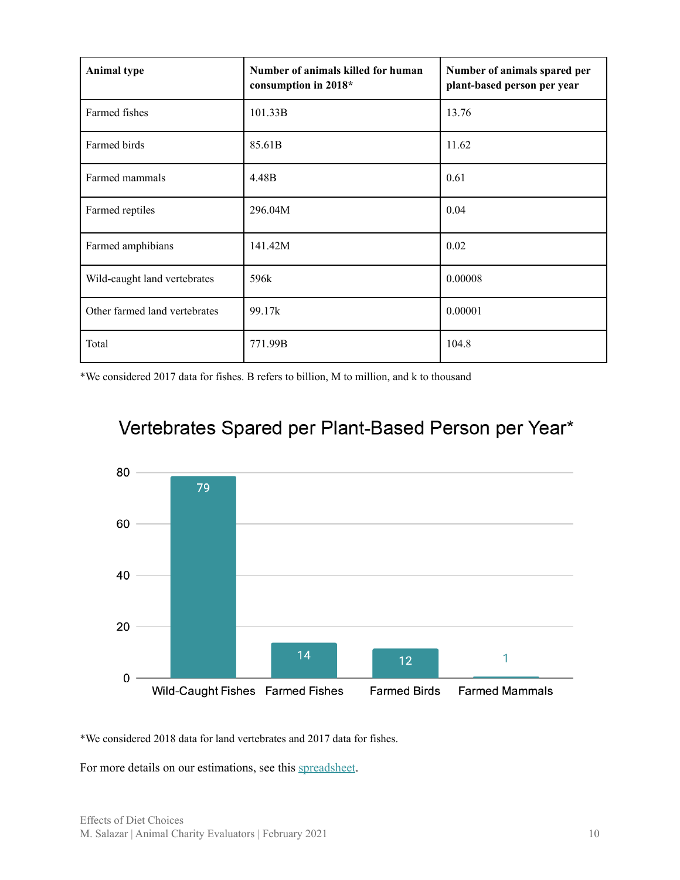| <b>Animal type</b>            | Number of animals killed for human<br>consumption in 2018* | Number of animals spared per<br>plant-based person per year |
|-------------------------------|------------------------------------------------------------|-------------------------------------------------------------|
| Farmed fishes                 | 101.33B                                                    | 13.76                                                       |
| Farmed birds                  | 85.61B                                                     | 11.62                                                       |
| Farmed mammals                | 4.48B                                                      | 0.61                                                        |
| Farmed reptiles               | 296.04M                                                    | 0.04                                                        |
| Farmed amphibians             | 141.42M                                                    | 0.02                                                        |
| Wild-caught land vertebrates  | 596k                                                       | 0.00008                                                     |
| Other farmed land vertebrates | 99.17k                                                     | 0.00001                                                     |
| Total                         | 771.99B                                                    | 104.8                                                       |

\*We considered 2017 data for fishes. B refers to billion, M to million, and k to thousand



# Vertebrates Spared per Plant-Based Person per Year\*

\*We considered 2018 data for land vertebrates and 2017 data for fishes.

For more details on our estimations, see this [spreadsheet](https://docs.google.com/spreadsheets/d/1FtmIafotDpIAvblZiBYJu2nO2PbeUCrcaKlG_hHvNsI/edit?pli=1#gid=344352273).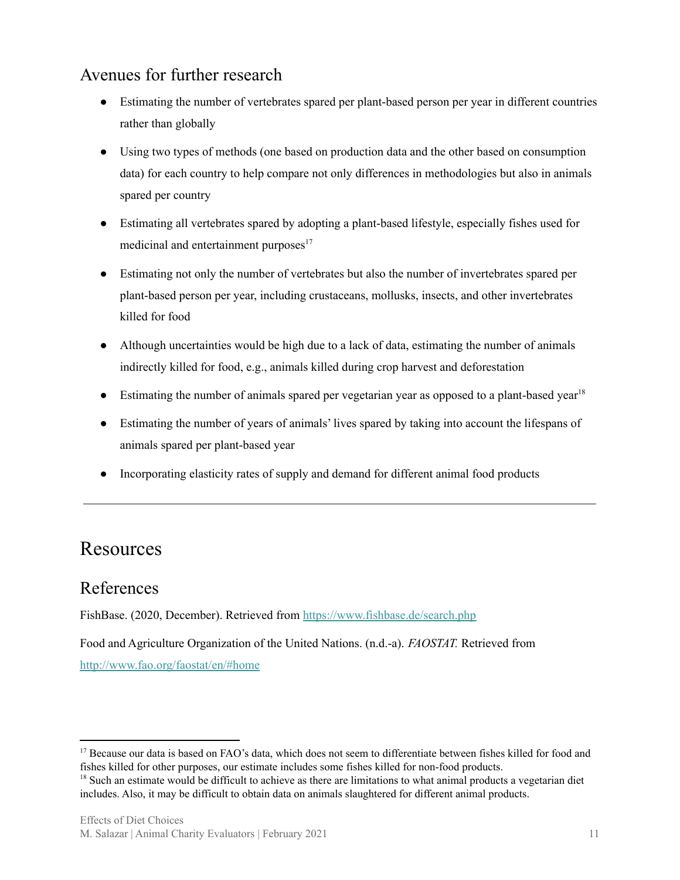## <span id="page-10-0"></span>Avenues for further research

- Estimating the number of vertebrates spared per plant-based person per year in different countries rather than globally
- Using two types of methods (one based on production data and the other based on consumption data) for each country to help compare not only differences in methodologies but also in animals spared per country
- Estimating all vertebrates spared by adopting a plant-based lifestyle, especially fishes used for medicinal and entertainment purposes<sup>17</sup>
- Estimating not only the number of vertebrates but also the number of invertebrates spared per plant-based person per year, including crustaceans, mollusks, insects, and other invertebrates killed for food
- Although uncertainties would be high due to a lack of data, estimating the number of animals indirectly killed for food, e.g., animals killed during crop harvest and deforestation
- Estimating the number of animals spared per vegetarian year as opposed to a plant-based year<sup>18</sup>
- Estimating the number of years of animals' lives spared by taking into account the lifespans of animals spared per plant-based year
- Incorporating elasticity rates of supply and demand for different animal food products

## <span id="page-10-1"></span>Resources

#### <span id="page-10-2"></span>References

FishBase. (2020, December). Retrieved from <https://www.fishbase.de/search.php>

Food and Agriculture Organization of the United Nations. (n.d.-a). *FAOSTAT.* Retrieved from <http://www.fao.org/faostat/en/#home>

<sup>&</sup>lt;sup>17</sup> Because our data is based on FAO's data, which does not seem to differentiate between fishes killed for food and fishes killed for other purposes, our estimate includes some fishes killed for non-food products.

<sup>&</sup>lt;sup>18</sup> Such an estimate would be difficult to achieve as there are limitations to what animal products a vegetarian diet includes. Also, it may be difficult to obtain data on animals slaughtered for different animal products.